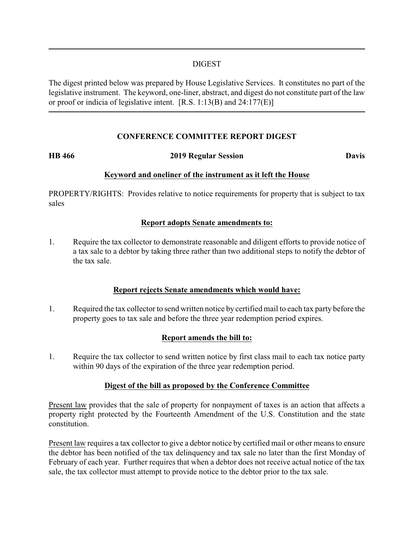## DIGEST

The digest printed below was prepared by House Legislative Services. It constitutes no part of the legislative instrument. The keyword, one-liner, abstract, and digest do not constitute part of the law or proof or indicia of legislative intent. [R.S. 1:13(B) and 24:177(E)]

## **CONFERENCE COMMITTEE REPORT DIGEST**

#### **HB 466 2019 Regular Session Davis**

## **Keyword and oneliner of the instrument as it left the House**

PROPERTY/RIGHTS: Provides relative to notice requirements for property that is subject to tax sales

## **Report adopts Senate amendments to:**

1. Require the tax collector to demonstrate reasonable and diligent efforts to provide notice of a tax sale to a debtor by taking three rather than two additional steps to notify the debtor of the tax sale.

#### **Report rejects Senate amendments which would have:**

1. Required the tax collector to send written notice by certified mail to each tax party before the property goes to tax sale and before the three year redemption period expires.

# **Report amends the bill to:**

1. Require the tax collector to send written notice by first class mail to each tax notice party within 90 days of the expiration of the three year redemption period.

#### **Digest of the bill as proposed by the Conference Committee**

Present law provides that the sale of property for nonpayment of taxes is an action that affects a property right protected by the Fourteenth Amendment of the U.S. Constitution and the state constitution.

Present law requires a tax collector to give a debtor notice by certified mail or other means to ensure the debtor has been notified of the tax delinquency and tax sale no later than the first Monday of February of each year. Further requires that when a debtor does not receive actual notice of the tax sale, the tax collector must attempt to provide notice to the debtor prior to the tax sale.